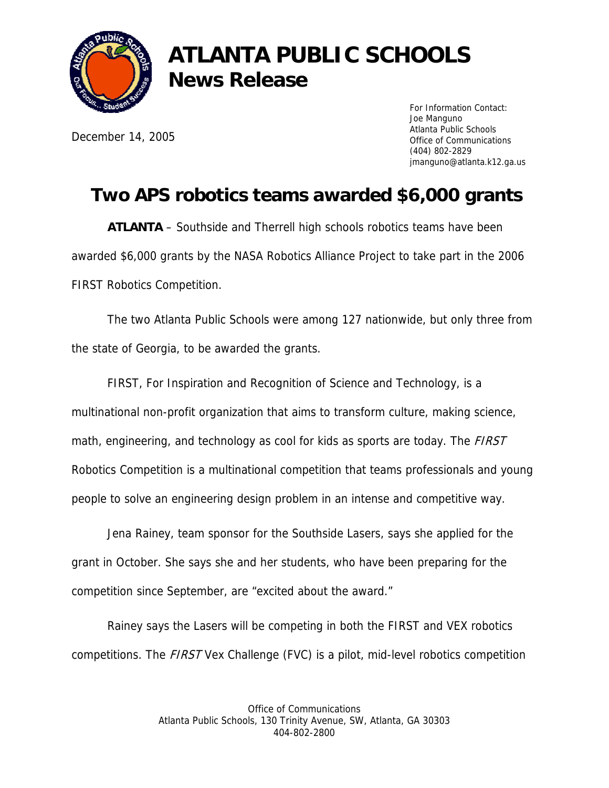

## **ATLANTA PUBLIC SCHOOLS News Release**

December 14, 2005

For Information Contact: Joe Manguno Atlanta Public Schools Office of Communications (404) 802-2829 jmanguno@atlanta.k12.ga.us

## **Two APS robotics teams awarded \$6,000 grants**

**ATLANTA** – Southside and Therrell high schools robotics teams have been awarded \$6,000 grants by the NASA Robotics Alliance Project to take part in the 2006 FIRST Robotics Competition.

 The two Atlanta Public Schools were among 127 nationwide, but only three from the state of Georgia, to be awarded the grants.

FIRST, For Inspiration and Recognition of Science and Technology, is a multinational non-profit organization that aims to transform culture, making science, math, engineering, and technology as cool for kids as sports are today. The *FIRST* Robotics Competition is a multinational competition that teams professionals and young people to solve an engineering design problem in an intense and competitive way.

 Jena Rainey, team sponsor for the Southside Lasers, says she applied for the grant in October. She says she and her students, who have been preparing for the competition since September, are "excited about the award."

Rainey says the Lasers will be competing in both the FIRST and VEX robotics competitions. The FIRST Vex Challenge (FVC) is a pilot, mid-level robotics competition